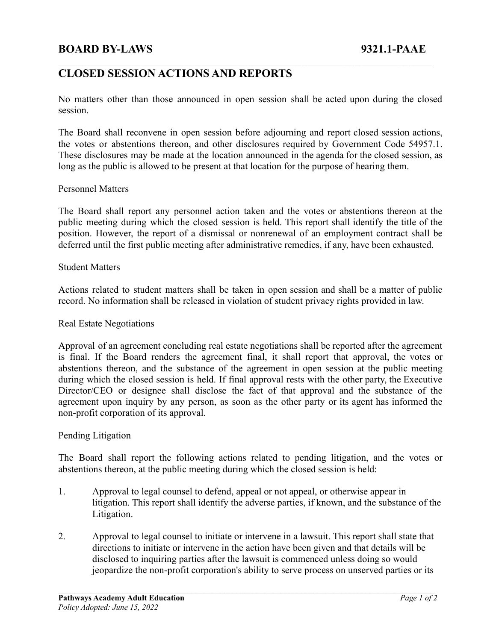# **BOARD BY-LAWS 9321.1-PAAE**

# **CLOSED SESSION ACTIONS AND REPORTS**

No matters other than those announced in open session shall be acted upon during the closed session.

 $\mathcal{L}_\mathcal{L} = \{ \mathcal{L}_\mathcal{L} = \{ \mathcal{L}_\mathcal{L} = \{ \mathcal{L}_\mathcal{L} = \{ \mathcal{L}_\mathcal{L} = \{ \mathcal{L}_\mathcal{L} = \{ \mathcal{L}_\mathcal{L} = \{ \mathcal{L}_\mathcal{L} = \{ \mathcal{L}_\mathcal{L} = \{ \mathcal{L}_\mathcal{L} = \{ \mathcal{L}_\mathcal{L} = \{ \mathcal{L}_\mathcal{L} = \{ \mathcal{L}_\mathcal{L} = \{ \mathcal{L}_\mathcal{L} = \{ \mathcal{L}_\mathcal{$ 

The Board shall reconvene in open session before adjourning and report closed session actions, the votes or abstentions thereon, and other disclosures required by Government Code 54957.1. These disclosures may be made at the location announced in the agenda for the closed session, as long as the public is allowed to be present at that location for the purpose of hearing them.

### Personnel Matters

The Board shall report any personnel action taken and the votes or abstentions thereon at the public meeting during which the closed session is held. This report shall identify the title of the position. However, the report of a dismissal or nonrenewal of an employment contract shall be deferred until the first public meeting after administrative remedies, if any, have been exhausted.

### Student Matters

Actions related to student matters shall be taken in open session and shall be a matter of public record. No information shall be released in violation of student privacy rights provided in law.

#### Real Estate Negotiations

Approval of an agreement concluding real estate negotiations shall be reported after the agreement is final. If the Board renders the agreement final, it shall report that approval, the votes or abstentions thereon, and the substance of the agreement in open session at the public meeting during which the closed session is held. If final approval rests with the other party, the Executive Director/CEO or designee shall disclose the fact of that approval and the substance of the agreement upon inquiry by any person, as soon as the other party or its agent has informed the non-profit corporation of its approval.

#### Pending Litigation

The Board shall report the following actions related to pending litigation, and the votes or abstentions thereon, at the public meeting during which the closed session is held:

- 1. Approval to legal counsel to defend, appeal or not appeal, or otherwise appear in litigation. This report shall identify the adverse parties, if known, and the substance of the Litigation.
- 2. Approval to legal counsel to initiate or intervene in a lawsuit. This report shall state that directions to initiate or intervene in the action have been given and that details will be disclosed to inquiring parties after the lawsuit is commenced unless doing so would jeopardize the non-profit corporation's ability to serve process on unserved parties or its

 $\mathcal{L}_\mathcal{L} = \{ \mathcal{L}_\mathcal{L} = \{ \mathcal{L}_\mathcal{L} = \{ \mathcal{L}_\mathcal{L} = \{ \mathcal{L}_\mathcal{L} = \{ \mathcal{L}_\mathcal{L} = \{ \mathcal{L}_\mathcal{L} = \{ \mathcal{L}_\mathcal{L} = \{ \mathcal{L}_\mathcal{L} = \{ \mathcal{L}_\mathcal{L} = \{ \mathcal{L}_\mathcal{L} = \{ \mathcal{L}_\mathcal{L} = \{ \mathcal{L}_\mathcal{L} = \{ \mathcal{L}_\mathcal{L} = \{ \mathcal{L}_\mathcal{$